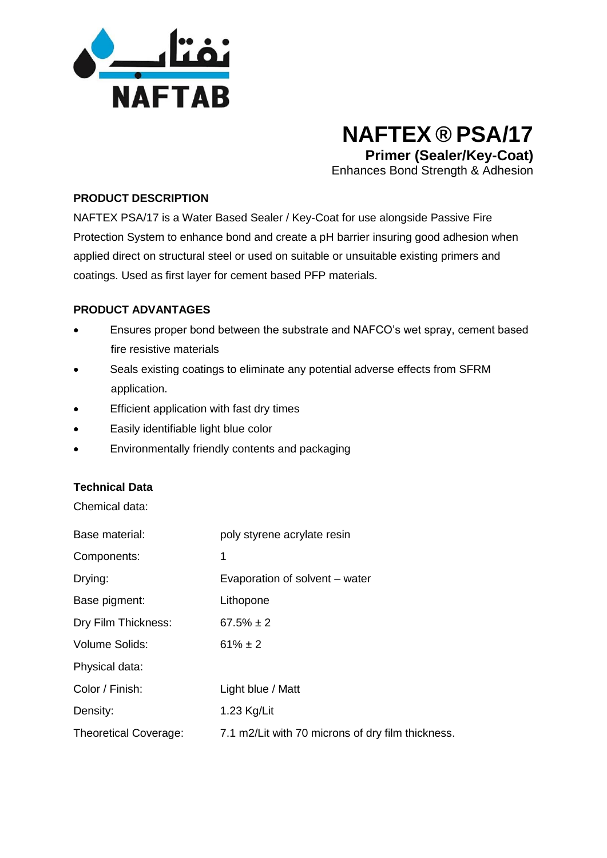

# **NAFTEX ® PSA/17 Primer (Sealer/Key-Coat)**

Enhances Bond Strength & Adhesion

#### **PRODUCT DESCRIPTION**

NAFTEX PSA/17 is a Water Based Sealer / Key-Coat for use alongside Passive Fire Protection System to enhance bond and create a pH barrier insuring good adhesion when applied direct on structural steel or used on suitable or unsuitable existing primers and coatings. Used as first layer for cement based PFP materials.

#### **PRODUCT ADVANTAGES**

- Ensures proper bond between the substrate and NAFCO's wet spray, cement based fire resistive materials
- Seals existing coatings to eliminate any potential adverse effects from SFRM application.
- Efficient application with fast dry times
- Easily identifiable light blue color
- Environmentally friendly contents and packaging

#### **Technical Data**

Chemical data:

| Base material:               | poly styrene acrylate resin                       |
|------------------------------|---------------------------------------------------|
| Components:                  | 1                                                 |
| Drying:                      | Evaporation of solvent – water                    |
| Base pigment:                | Lithopone                                         |
| Dry Film Thickness:          | $67.5\% \pm 2$                                    |
| <b>Volume Solids:</b>        | $61\% \pm 2$                                      |
| Physical data:               |                                                   |
| Color / Finish:              | Light blue / Matt                                 |
| Density:                     | 1.23 Kg/Lit                                       |
| <b>Theoretical Coverage:</b> | 7.1 m2/Lit with 70 microns of dry film thickness. |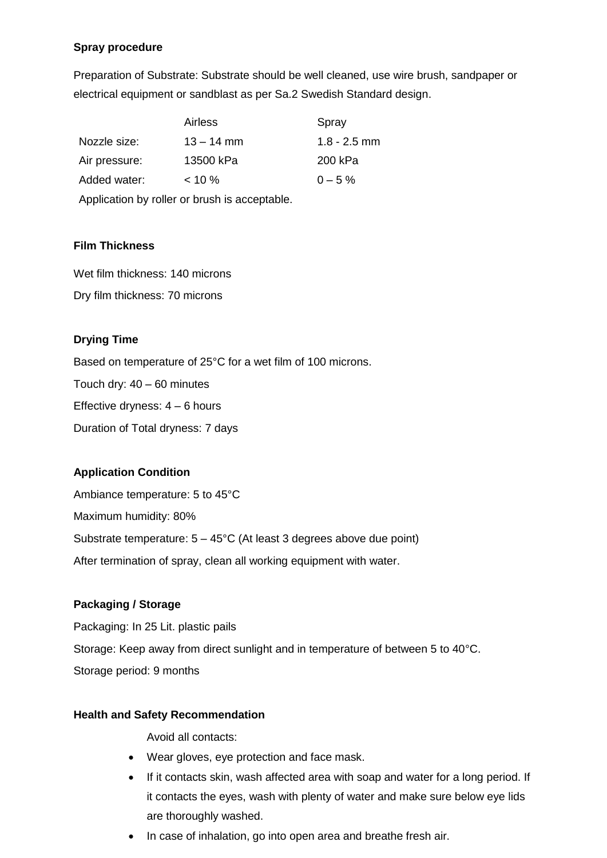## **Spray procedure**

Preparation of Substrate: Substrate should be well cleaned, use wire brush, sandpaper or electrical equipment or sandblast as per Sa.2 Swedish Standard design.

|                                               | <b>Airless</b> | Spray          |  |
|-----------------------------------------------|----------------|----------------|--|
| Nozzle size:                                  | $13 - 14$ mm   | $1.8 - 2.5$ mm |  |
| Air pressure:                                 | 13500 kPa      | 200 kPa        |  |
| Added water:                                  | $< 10 \%$      | $0 - 5\%$      |  |
| Application by roller or brush is acceptable. |                |                |  |

## **Film Thickness**

Wet film thickness: 140 microns Dry film thickness: 70 microns

## **Drying Time**

Based on temperature of 25°C for a wet film of 100 microns. Touch dry: 40 – 60 minutes Effective dryness: 4 – 6 hours Duration of Total dryness: 7 days

## **Application Condition**

Ambiance temperature: 5 to 45°C Maximum humidity: 80% Substrate temperature: 5 – 45°C (At least 3 degrees above due point) After termination of spray, clean all working equipment with water.

## **Packaging / Storage**

Packaging: In 25 Lit. plastic pails Storage: Keep away from direct sunlight and in temperature of between 5 to 40°C. Storage period: 9 months

## **Health and Safety Recommendation**

Avoid all contacts:

- Wear gloves, eye protection and face mask.
- If it contacts skin, wash affected area with soap and water for a long period. If it contacts the eyes, wash with plenty of water and make sure below eye lids are thoroughly washed.
- In case of inhalation, go into open area and breathe fresh air.